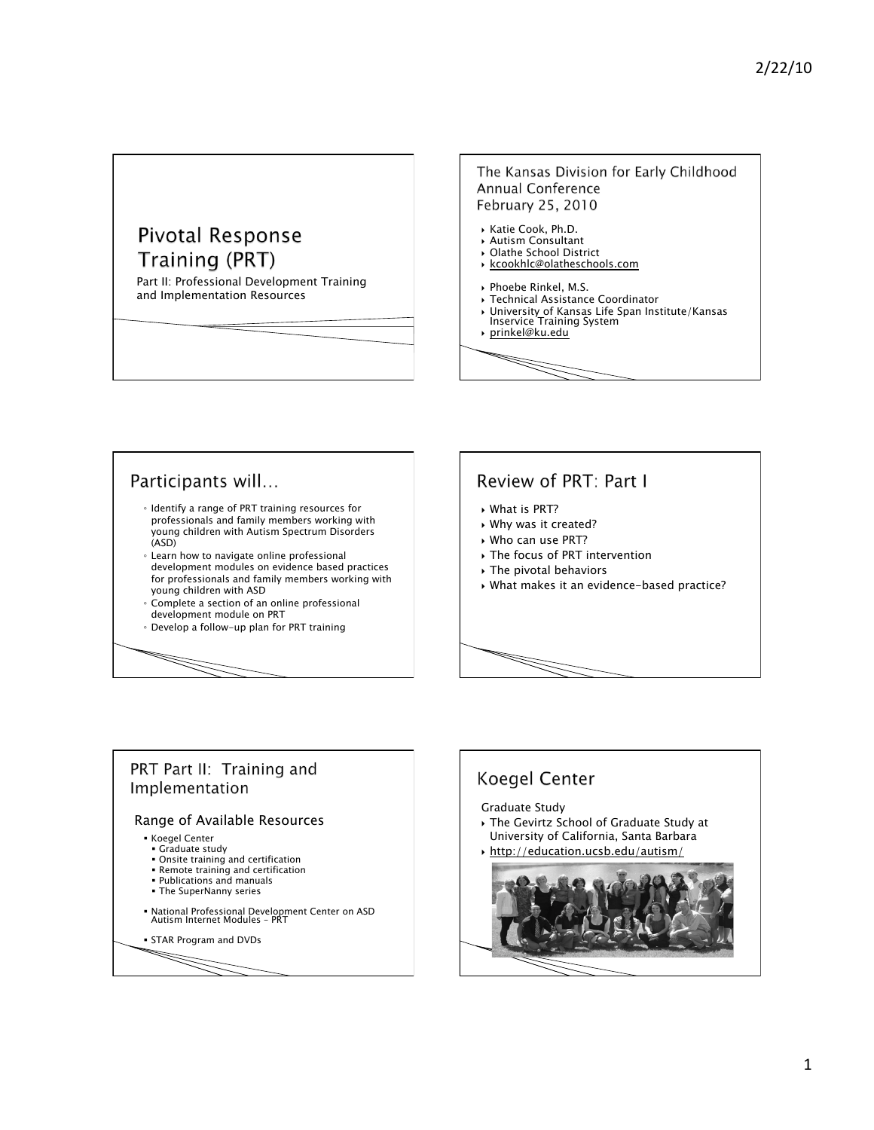# Pivotal Response Training (PRT)

Part II: Professional Development Training and Implementation Resources

#### The Kansas Division for Early Childhood **Annual Conference** February 25, 2010

- Katie Cook, Ph.D. Autism Consultant
- Olathe School District
- kcookhlc@olatheschools.com
- Phoebe Rinkel, M.S.
- Technical Assistance Coordinator
- University of Kansas Life Span Institute/Kansas Inservice Training System
- prinkel@ku.edu







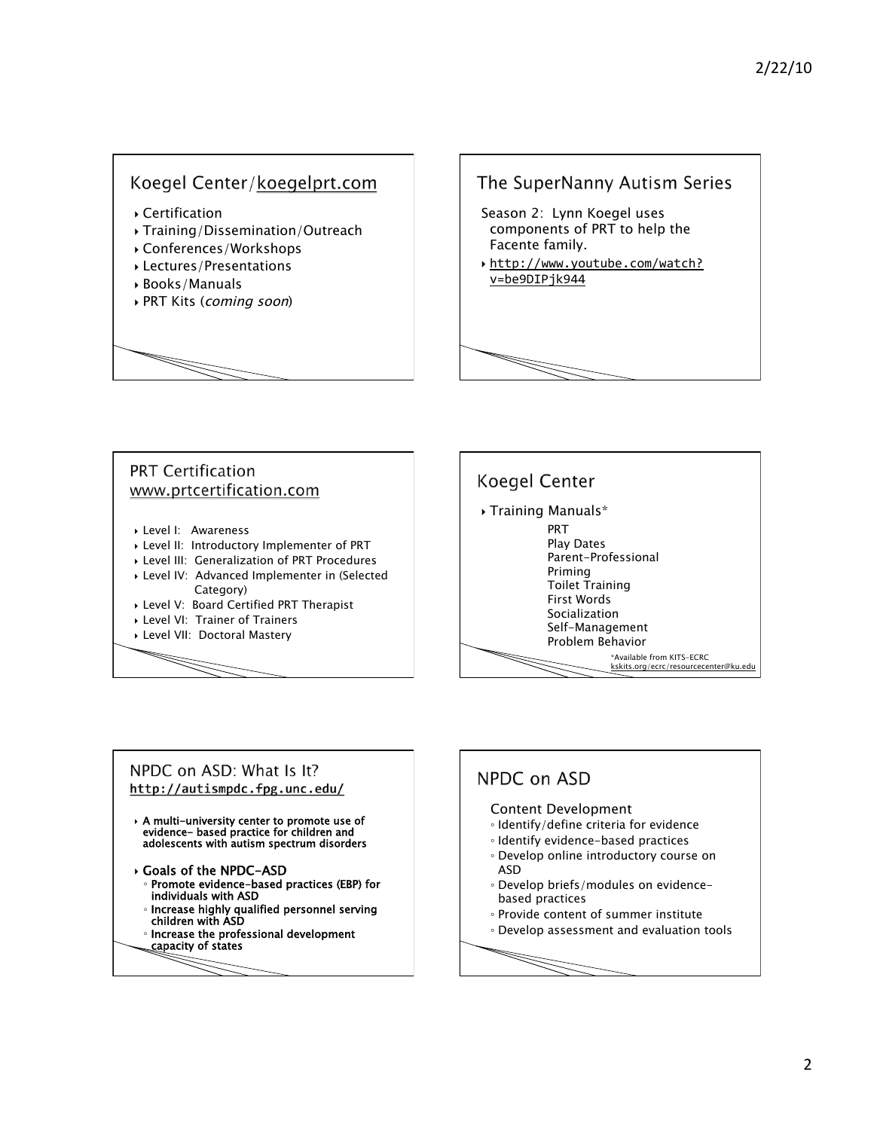# Koegel Center/koegelprt.com

- Certification
- Training/Dissemination/Outreach
- Conferences/Workshops
- Lectures/Presentations
- Books/Manuals
- PRT Kits (coming soon)

# The SuperNanny Autism Series Season 2: Lynn Koegel uses components of PRT to help the Facente family. http://www.youtube.com/watch? v=be9DIPjk944

# **PRT Certification** www.prtcertification.com

- Level I: Awareness
- Level II: Introductory Implementer of PRT
- Level III: Generalization of PRT Procedures
- Level IV: Advanced Implementer in (Selected Category)
- Level V: Board Certified PRT Therapist
- Level VI: Trainer of Trainers
- Level VII: Doctoral Mastery



# NPDC on ASD: What Is It? http://autismpdc.fpg.unc.edu/

- A multi-university center to promote use of evidence- based practice for children and adolescents with autism spectrum disorders
- Goals of the NPDC-ASD ◦ Promote evidence-based practices (EBP) for
	- individuals with ASD
	- Increase highly qualified personnel serving
	- children with ASD Increase the professional development
- capacity of states

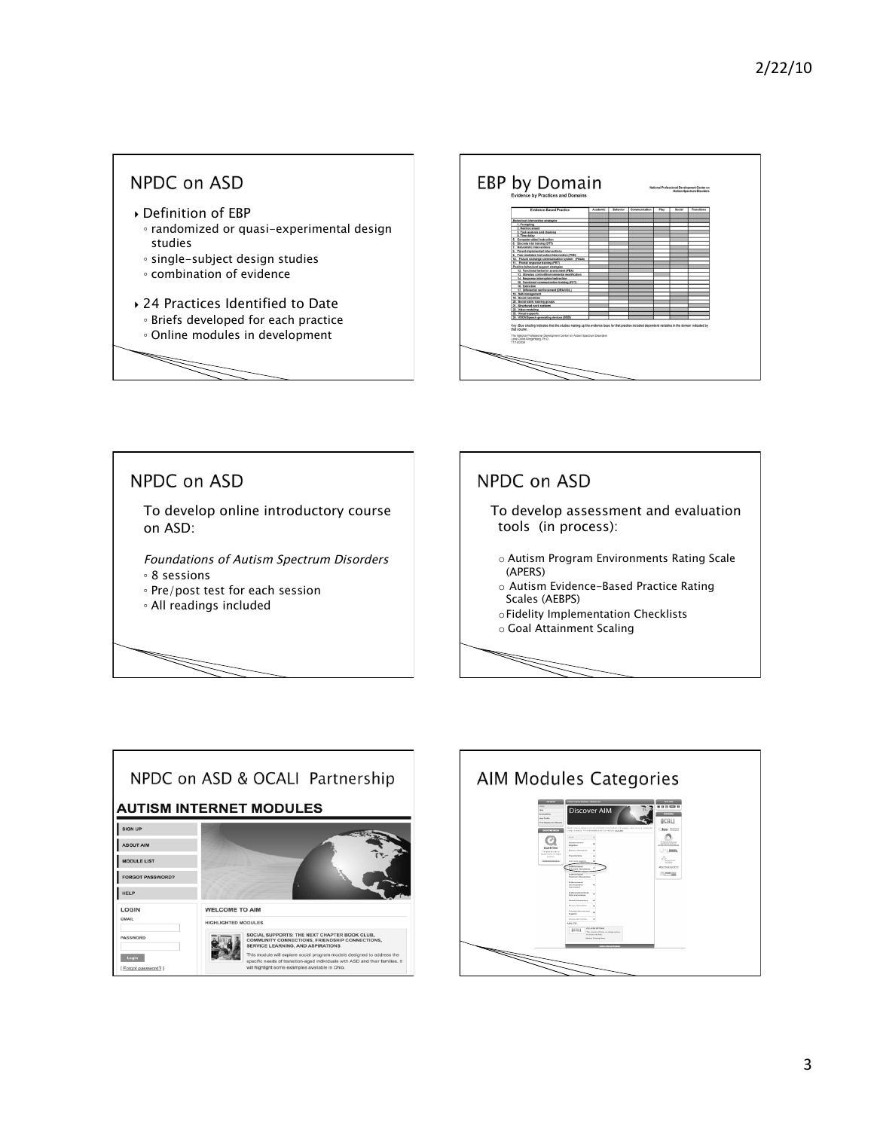





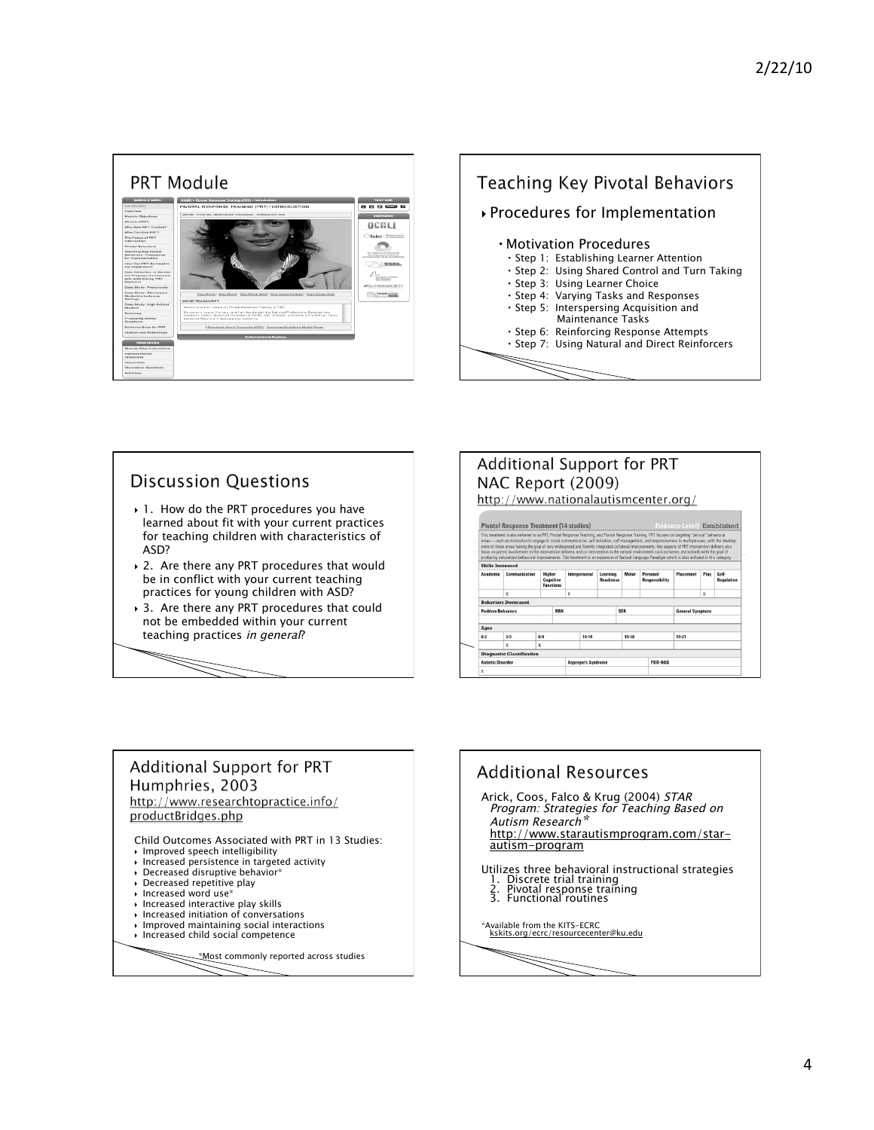



#### **Discussion Questions**  1. How do the PRT procedures you have learned about fit with your current practices for teaching children with characteristics of ASD?

- ▶ 2. Are there any PRT procedures that would be in conflict with your current teaching practices for young children with ASD?
- ▶ 3. Are there any PRT procedures that could not be embedded within your current teaching practices in general?



# **Additional Support for PRT** Humphries, 2003 http://www.researchtopractice.info/ productBridges.php

Child Outcomes Associated with PRT in 13 Studies:

- Improved speech intelligibility Increased persistence in targeted activity
- Decreased disruptive behavior\*
- Decreased repetitive play
- Increased word use\*
- $\rightarrow$  Increased interactive play skills
- $\rightarrow$  Increased initiation of conversations
- 
- $\triangleright$  Improved maintaining social interactions<br> $\triangleright$  Increased child social competence

\*Most commonly reported across studies